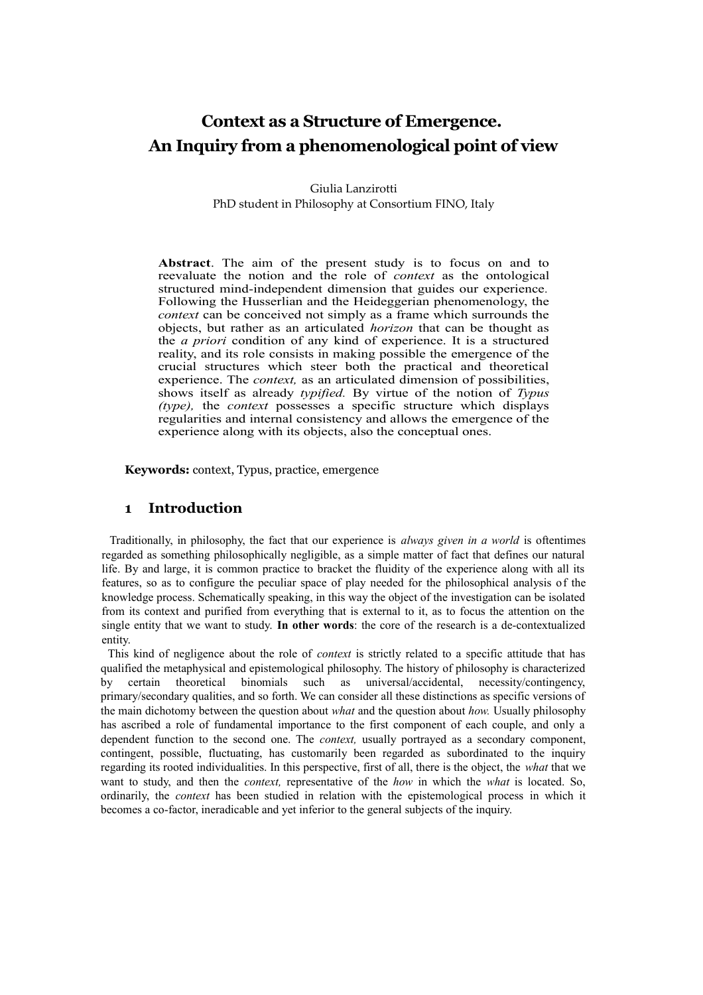# **Context as a Structure of Emergence. An Inquiry from a phenomenological point of view**

Giulia Lanzirotti PhD student in Philosophy at Consortium FINO, Italy

**Abstract**. The aim of the present study is to focus on and to reevaluate the notion and the role of *context* as the ontological structured mind-independent dimension that guides our experience*.* Following the Husserlian and the Heideggerian phenomenology, the *context* can be conceived not simply as a frame which surrounds the objects, but rather as an articulated *horizon* that can be thought as the *a priori* condition of any kind of experience. It is a structured reality, and its role consists in making possible the emergence of the crucial structures which steer both the practical and theoretical experience. The *context,* as an articulated dimension of possibilities, shows itself as already *typified.* By virtue of the notion of *Typus (type),* the *context* possesses a specific structure which displays regularities and internal consistency and allows the emergence of the experience along with its objects, also the conceptual ones.

**Keywords:** context, Typus, practice, emergence

## **1 Introduction**

Traditionally, in philosophy, the fact that our experience is *always given in a world* is oftentimes regarded as something philosophically negligible, as a simple matter of fact that defines our natural life. By and large, it is common practice to bracket the fluidity of the experience along with all its features, so as to configure the peculiar space of play needed for the philosophical analysis of the knowledge process. Schematically speaking, in this way the object of the investigation can be isolated from its context and purified from everything that is external to it, as to focus the attention on the single entity that we want to study. **In other words**: the core of the research is a de-contextualized entity.

This kind of negligence about the role of *context* is strictly related to a specific attitude that has qualified the metaphysical and epistemological philosophy. The history of philosophy is characterized by certain theoretical binomials such as universal/accidental, necessity/contingency, primary/secondary qualities, and so forth. We can consider all these distinctions as specific versions of the main dichotomy between the question about *what* and the question about *how.* Usually philosophy has ascribed a role of fundamental importance to the first component of each couple, and only a dependent function to the second one. The *context,* usually portrayed as a secondary component, contingent, possible, fluctuating, has customarily been regarded as subordinated to the inquiry regarding its rooted individualities. In this perspective, first of all, there is the object, the *what* that we want to study, and then the *context,* representative of the *how* in which the *what* is located. So, ordinarily, the *context* has been studied in relation with the epistemological process in which it becomes a co-factor, ineradicable and yet inferior to the general subjects of the inquiry.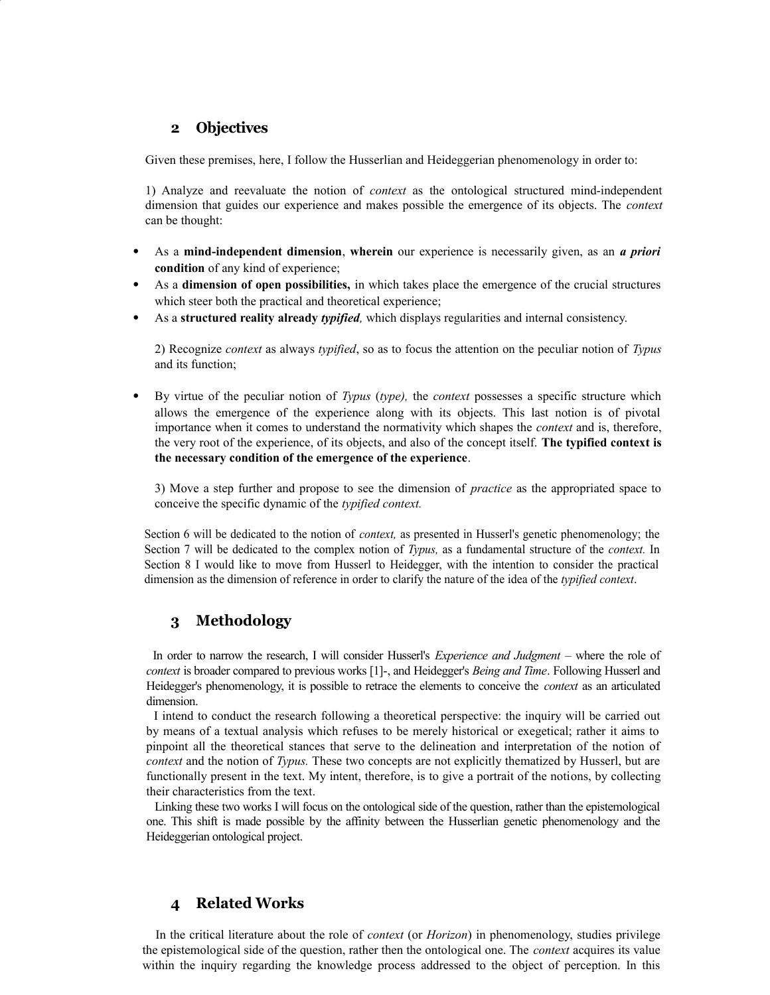# **2 Objectives**

Given these premises, here, I follow the Husserlian and Heideggerian phenomenology in order to:

1) Analyze and reevaluate the notion of *context* as the ontological structured mind-independent dimension that guides our experience and makes possible the emergence of its objects. The *context* can be thought:

- As a **mind-independent dimension**, **wherein** our experience is necessarily given, as an *a priori* **condition** of any kind of experience;
- As a **dimension of open possibilities,** in which takes place the emergence of the crucial structures which steer both the practical and theoretical experience;
- As a **structured reality already** *typified,* which displays regularities and internal consistency.

2) Recognize *context* as always *typified*, so as to focus the attention on the peculiar notion of *Typus* and its function;

• By virtue of the peculiar notion of *Typus* (*type),* the *context* possesses a specific structure which allows the emergence of the experience along with its objects. This last notion is of pivotal importance when it comes to understand the normativity which shapes the *context* and is, therefore, the very root of the experience, of its objects, and also of the concept itself. **The typified context is the necessary condition of the emergence of the experience**.

3) Move a step further and propose to see the dimension of *practice* as the appropriated space to conceive the specific dynamic of the *typified context.*

Section 6 will be dedicated to the notion of *context,* as presented in Husserl's genetic phenomenology; the Section 7 will be dedicated to the complex notion of *Typus,* as a fundamental structure of the *context.* In Section 8 I would like to move from Husserl to Heidegger, with the intention to consider the practical dimension as the dimension of reference in order to clarify the nature of the idea of the *typified context*.

# **3 Methodology**

In order to narrow the research, I will consider Husserl's *Experience and Judgment* – where the role of *context* is broader compared to previous works [1]-, and Heidegger's *Being and Time*. Following Husserl and Heidegger's phenomenology, it is possible to retrace the elements to conceive the *context* as an articulated dimension.

I intend to conduct the research following a theoretical perspective: the inquiry will be carried out by means of a textual analysis which refuses to be merely historical or exegetical; rather it aims to pinpoint all the theoretical stances that serve to the delineation and interpretation of the notion of *context* and the notion of *Typus.* These two concepts are not explicitly thematized by Husserl, but are functionally present in the text. My intent, therefore, is to give a portrait of the notions, by collecting their characteristics from the text.

Linking these two works I will focus on the ontological side of the question, rather than the epistemological one. This shift is made possible by the affinity between the Husserlian genetic phenomenology and the Heideggerian ontological project.

# **4 Related Works**

In the critical literature about the role of *context* (or *Horizon*) in phenomenology, studies privilege the epistemological side of the question, rather then the ontological one. The *context* acquires its value within the inquiry regarding the knowledge process addressed to the object of perception. In this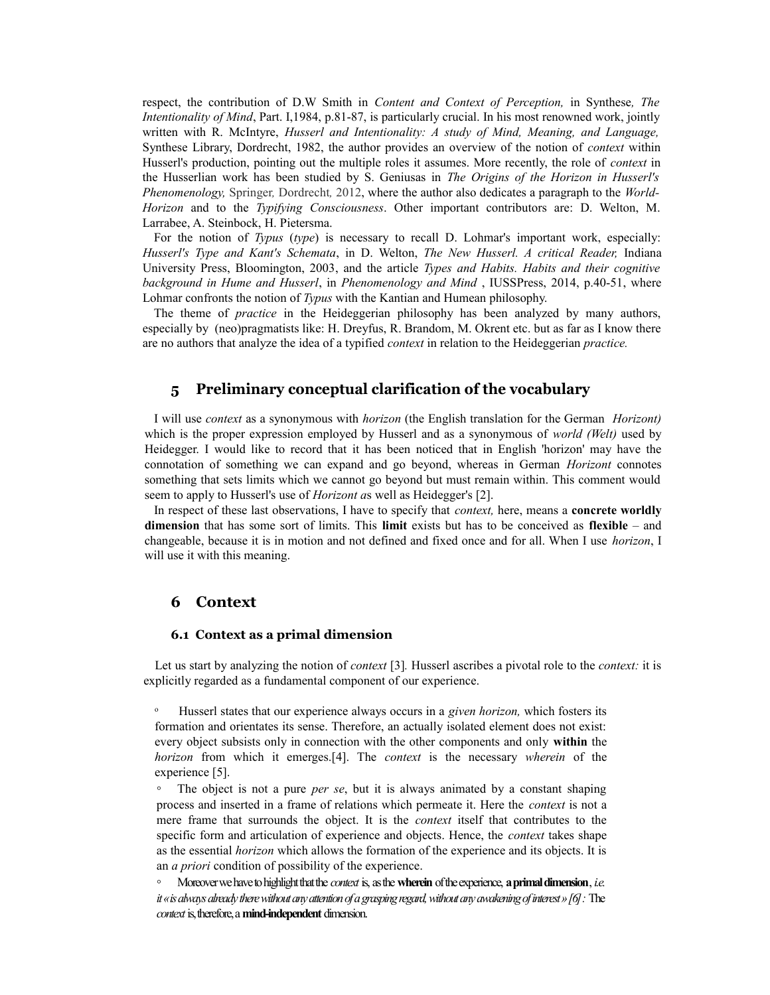respect, the contribution of D.W Smith in *Content and Context of Perception,* in Synthese*, The Intentionality of Mind*, Part. I,1984, p.81-87, is particularly crucial. In his most renowned work, jointly written with R. McIntyre, *Husserl and Intentionality: A study of Mind, Meaning, and Language,* Synthese Library, Dordrecht, 1982, the author provides an overview of the notion of *context* within Husserl's production, pointing out the multiple roles it assumes. More recently, the role of *context* in the Husserlian work has been studied by S. Geniusas in *The Origins of the Horizon in Husserl's Phenomenology,* Springer*,* Dordrecht*,* 2012, where the author also dedicates a paragraph to the *World-Horizon* and to the *Typifying Consciousness*. Other important contributors are: D. Welton, M. Larrabee, A. Steinbock, H. Pietersma.

For the notion of *Typus* (*type*) is necessary to recall D. Lohmar's important work, especially: *Husserl's Type and Kant's Schemata*, in D. Welton, *The New Husserl. A critical Reader,* Indiana University Press, Bloomington, 2003, and the article *Types and Habits. Habits and their cognitive background in Hume and Husserl*, in *Phenomenology and Mind* , IUSSPress, 2014, p.40-51, where Lohmar confronts the notion of *Typus* with the Kantian and Humean philosophy.

The theme of *practice* in the Heideggerian philosophy has been analyzed by many authors, especially by (neo)pragmatists like: H. Dreyfus, R. Brandom, M. Okrent etc. but as far as I know there are no authors that analyze the idea of a typified *context* in relation to the Heideggerian *practice.*

### **5 Preliminary conceptual clarification of the vocabulary**

I will use *context* as a synonymous with *horizon* (the English translation for the German *Horizont)* which is the proper expression employed by Husserl and as a synonymous of *world (Welt)* used by Heidegger. I would like to record that it has been noticed that in English 'horizon' may have the connotation of something we can expand and go beyond, whereas in German *Horizont* connotes something that sets limits which we cannot go beyond but must remain within. This comment would seem to apply to Husserl's use of *Horizont a*s well as Heidegger's [2].

In respect of these last observations, I have to specify that *context,* here, means a **concrete worldly dimension** that has some sort of limits. This **limit** exists but has to be conceived as **flexible** – and changeable, because it is in motion and not defined and fixed once and for all. When I use *horizon*, I will use it with this meaning.

### **6 Context**

#### **6.1 Context as a primal dimension**

Let us start by analyzing the notion of *context* [3]*.* Husserl ascribes a pivotal role to the *context:* it is explicitly regarded as a fundamental component of our experience.

Husserl states that our experience always occurs in a *given horizon*, which fosters its formation and orientates its sense. Therefore, an actually isolated element does not exist: every object subsists only in connection with the other components and only **within** the *horizon* from which it emerges.[4]. The *context* is the necessary *wherein* of the experience [5].

◦ The object is not a pure *per se*, but it is always animated by a constant shaping process and inserted in a frame of relations which permeate it. Here the *context* is not a mere frame that surrounds the object. It is the *context* itself that contributes to the specific form and articulation of experience and objects. Hence, the *context* takes shape as the essential *horizon* which allows the formation of the experience and its objects. It is an *a priori* condition of possibility of the experience.

◦ Moreover we have to highlight that the *context* is, as the **wherein** of the experience, **a primal dimension**, *i.e. it «is always already there without any attention of a grasping regard, without any awakening of interest» [6]:* The *context* is, therefore, a **mind-independent** dimension.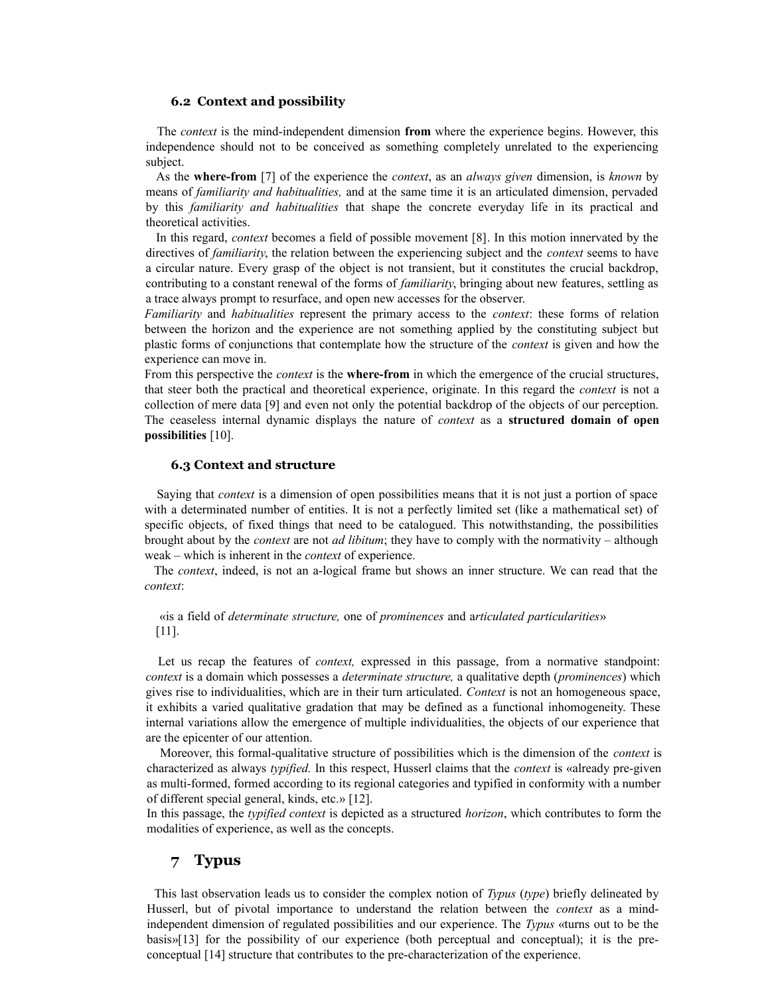#### **6.2 Context and possibility**

The *context* is the mind-independent dimension **from** where the experience begins. However, this independence should not to be conceived as something completely unrelated to the experiencing subject.

As the **where-from** [7] of the experience the *context*, as an *always given* dimension, is *known* by means of *familiarity and habitualities,* and at the same time it is an articulated dimension, pervaded by this *familiarity and habitualities* that shape the concrete everyday life in its practical and theoretical activities.

In this regard, *context* becomes a field of possible movement [8]. In this motion innervated by the directives of *familiarity*, the relation between the experiencing subject and the *context* seems to have a circular nature. Every grasp of the object is not transient, but it constitutes the crucial backdrop, contributing to a constant renewal of the forms of *familiarity*, bringing about new features, settling as a trace always prompt to resurface, and open new accesses for the observer.

*Familiarity* and *habitualities* represent the primary access to the *context*: these forms of relation between the horizon and the experience are not something applied by the constituting subject but plastic forms of conjunctions that contemplate how the structure of the *context* is given and how the experience can move in.

From this perspective the *context* is the **where-from** in which the emergence of the crucial structures, that steer both the practical and theoretical experience, originate. In this regard the *context* is not a collection of mere data [9] and even not only the potential backdrop of the objects of our perception. The ceaseless internal dynamic displays the nature of *context* as a **structured domain of open possibilities** [10].

#### **6.3 Context and structure**

Saying that *context* is a dimension of open possibilities means that it is not just a portion of space with a determinated number of entities. It is not a perfectly limited set (like a mathematical set) of specific objects, of fixed things that need to be catalogued. This notwithstanding, the possibilities brought about by the *context* are not *ad libitum*; they have to comply with the normativity – although weak – which is inherent in the *context* of experience.

The *context*, indeed, is not an a-logical frame but shows an inner structure. We can read that the *context*:

### «is a field of *determinate structure,* one of *prominences* and a*rticulated particularities*» [11].

Let us recap the features of *context*, expressed in this passage, from a normative standpoint: *context* is a domain which possesses a *determinate structure,* a qualitative depth (*prominences*) which gives rise to individualities, which are in their turn articulated. *Context* is not an homogeneous space, it exhibits a varied qualitative gradation that may be defined as a functional inhomogeneity. These internal variations allow the emergence of multiple individualities, the objects of our experience that are the epicenter of our attention.

Moreover, this formal-qualitative structure of possibilities which is the dimension of the *context* is characterized as always *typified.* In this respect, Husserl claims that the *context* is «already pre-given as multi-formed, formed according to its regional categories and typified in conformity with a number of different special general, kinds, etc.» [12].

In this passage, the *typified context* is depicted as a structured *horizon*, which contributes to form the modalities of experience, as well as the concepts.

### **7 Typus**

This last observation leads us to consider the complex notion of *Typus* (*type*) briefly delineated by Husserl, but of pivotal importance to understand the relation between the *context* as a mindindependent dimension of regulated possibilities and our experience. The *Typus* «turns out to be the basis»[13] for the possibility of our experience (both perceptual and conceptual); it is the preconceptual [14] structure that contributes to the pre-characterization of the experience.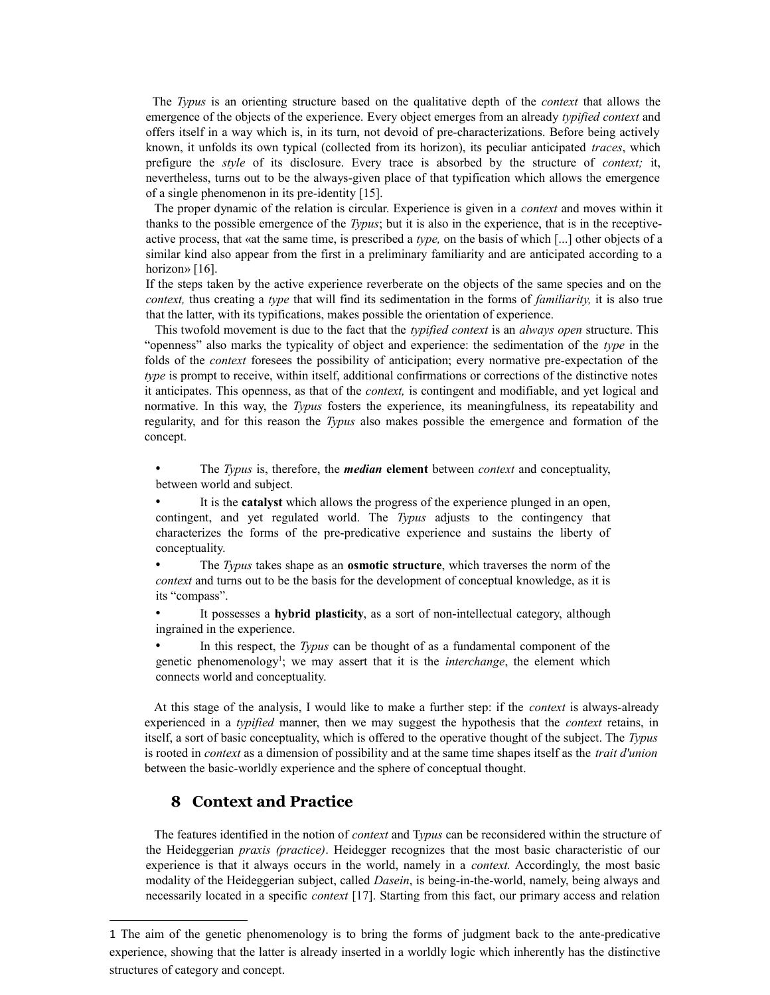The *Typus* is an orienting structure based on the qualitative depth of the *context* that allows the emergence of the objects of the experience. Every object emerges from an already *typified context* and offers itself in a way which is, in its turn, not devoid of pre-characterizations. Before being actively known, it unfolds its own typical (collected from its horizon), its peculiar anticipated *traces*, which prefigure the *style* of its disclosure. Every trace is absorbed by the structure of *context;* it, nevertheless, turns out to be the always-given place of that typification which allows the emergence of a single phenomenon in its pre-identity [15].

The proper dynamic of the relation is circular. Experience is given in a *context* and moves within it thanks to the possible emergence of the *Typus*; but it is also in the experience, that is in the receptiveactive process, that «at the same time, is prescribed a *type,* on the basis of which [...] other objects of a similar kind also appear from the first in a preliminary familiarity and are anticipated according to a horizon» [16].

If the steps taken by the active experience reverberate on the objects of the same species and on the *context,* thus creating a *type* that will find its sedimentation in the forms of *familiarity,* it is also true that the latter, with its typifications, makes possible the orientation of experience.

This twofold movement is due to the fact that the *typified context* is an *always open* structure. This "openness" also marks the typicality of object and experience: the sedimentation of the *type* in the folds of the *context* foresees the possibility of anticipation; every normative pre-expectation of the *type* is prompt to receive, within itself, additional confirmations or corrections of the distinctive notes it anticipates. This openness, as that of the *context,* is contingent and modifiable, and yet logical and normative. In this way, the *Typus* fosters the experience, its meaningfulness, its repeatability and regularity, and for this reason the *Typus* also makes possible the emergence and formation of the concept.

• The *Typus* is, therefore, the *median* **element** between *context* and conceptuality, between world and subject.

It is the **catalyst** which allows the progress of the experience plunged in an open, contingent, and yet regulated world. The *Typus* adjusts to the contingency that characterizes the forms of the pre-predicative experience and sustains the liberty of conceptuality.

• The *Typus* takes shape as an **osmotic structure**, which traverses the norm of the *context* and turns out to be the basis for the development of conceptual knowledge, as it is its "compass".

• It possesses a **hybrid plasticity**, as a sort of non-intellectual category, although ingrained in the experience.

• In this respect, the *Typus* can be thought of as a fundamental component of the genetic phenomenology<sup>[1](#page-4-0)</sup>; we may assert that it is the *interchange*, the element which connects world and conceptuality.

At this stage of the analysis, I would like to make a further step: if the *context* is always-already experienced in a *typified* manner, then we may suggest the hypothesis that the *context* retains, in itself, a sort of basic conceptuality, which is offered to the operative thought of the subject. The *Typus* is rooted in *context* as a dimension of possibility and at the same time shapes itself as the *trait d'union* between the basic-worldly experience and the sphere of conceptual thought.

# **8 Context and Practice**

The features identified in the notion of *context* and T*ypus* can be reconsidered within the structure of the Heideggerian *praxis (practice)*. Heidegger recognizes that the most basic characteristic of our experience is that it always occurs in the world, namely in a *context.* Accordingly, the most basic modality of the Heideggerian subject, called *Dasein*, is being-in-the-world, namely, being always and necessarily located in a specific *context* [17]. Starting from this fact, our primary access and relation

<span id="page-4-0"></span><sup>1</sup> The aim of the genetic phenomenology is to bring the forms of judgment back to the ante-predicative experience, showing that the latter is already inserted in a worldly logic which inherently has the distinctive structures of category and concept.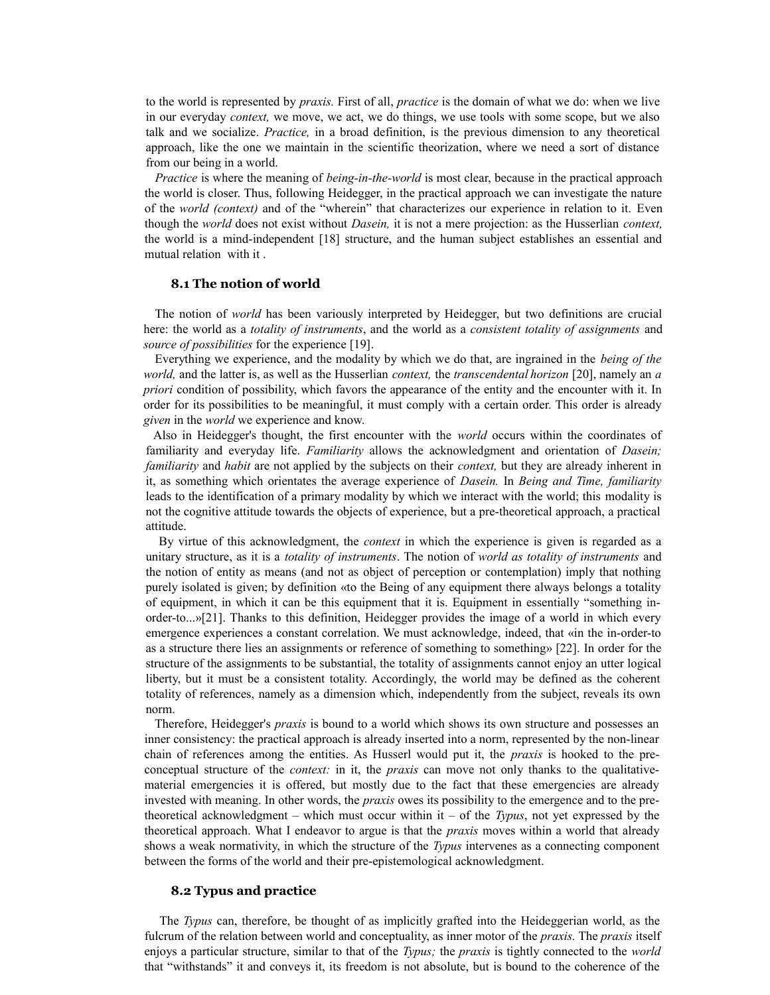to the world is represented by *praxis.* First of all, *practice* is the domain of what we do: when we live in our everyday *context,* we move, we act, we do things, we use tools with some scope, but we also talk and we socialize. *Practice,* in a broad definition, is the previous dimension to any theoretical approach, like the one we maintain in the scientific theorization, where we need a sort of distance from our being in a world.

*Practice* is where the meaning of *being-in-the-world* is most clear, because in the practical approach the world is closer. Thus, following Heidegger, in the practical approach we can investigate the nature of the *world (context)* and of the "wherein" that characterizes our experience in relation to it. Even though the *world* does not exist without *Dasein,* it is not a mere projection: as the Husserlian *context,* the world is a mind-independent [18] structure, and the human subject establishes an essential and mutual relation with it .

#### **8.1 The notion of world**

The notion of *world* has been variously interpreted by Heidegger, but two definitions are crucial here: the world as a *totality of instruments*, and the world as a *consistent totality of assignments* and *source of possibilities* for the experience [19].

Everything we experience, and the modality by which we do that, are ingrained in the *being of the world,* and the latter is, as well as the Husserlian *context,* the *transcendental horizon* [20], namely an *a priori* condition of possibility, which favors the appearance of the entity and the encounter with it. In order for its possibilities to be meaningful, it must comply with a certain order. This order is already *given* in the *world* we experience and know.

Also in Heidegger's thought, the first encounter with the *world* occurs within the coordinates of familiarity and everyday life. *Familiarity* allows the acknowledgment and orientation of *Dasein; familiarity* and *habit* are not applied by the subjects on their *context,* but they are already inherent in it, as something which orientates the average experience of *Dasein.* In *Being and Time, familiarity* leads to the identification of a primary modality by which we interact with the world; this modality is not the cognitive attitude towards the objects of experience, but a pre-theoretical approach, a practical attitude.

By virtue of this acknowledgment, the *context* in which the experience is given is regarded as a unitary structure, as it is a *totality of instruments*. The notion of *world as totality of instruments* and the notion of entity as means (and not as object of perception or contemplation) imply that nothing purely isolated is given; by definition «to the Being of any equipment there always belongs a totality of equipment, in which it can be this equipment that it is. Equipment in essentially "something inorder-to...»[21]. Thanks to this definition, Heidegger provides the image of a world in which every emergence experiences a constant correlation. We must acknowledge, indeed, that «in the in-order-to as a structure there lies an assignments or reference of something to something» [22]. In order for the structure of the assignments to be substantial, the totality of assignments cannot enjoy an utter logical liberty, but it must be a consistent totality. Accordingly, the world may be defined as the coherent totality of references, namely as a dimension which, independently from the subject, reveals its own norm.

Therefore, Heidegger's *praxis* is bound to a world which shows its own structure and possesses an inner consistency: the practical approach is already inserted into a norm, represented by the non-linear chain of references among the entities. As Husserl would put it, the *praxis* is hooked to the preconceptual structure of the *context:* in it, the *praxis* can move not only thanks to the qualitativematerial emergencies it is offered, but mostly due to the fact that these emergencies are already invested with meaning. In other words, the *praxis* owes its possibility to the emergence and to the pretheoretical acknowledgment – which must occur within it – of the *Typus*, not yet expressed by the theoretical approach. What I endeavor to argue is that the *praxis* moves within a world that already shows a weak normativity, in which the structure of the *Typus* intervenes as a connecting component between the forms of the world and their pre-epistemological acknowledgment.

#### **8.2 Typus and practice**

The *Typus* can, therefore, be thought of as implicitly grafted into the Heideggerian world, as the fulcrum of the relation between world and conceptuality, as inner motor of the *praxis.* The *praxis* itself enjoys a particular structure, similar to that of the *Typus;* the *praxis* is tightly connected to the *world* that "withstands" it and conveys it, its freedom is not absolute, but is bound to the coherence of the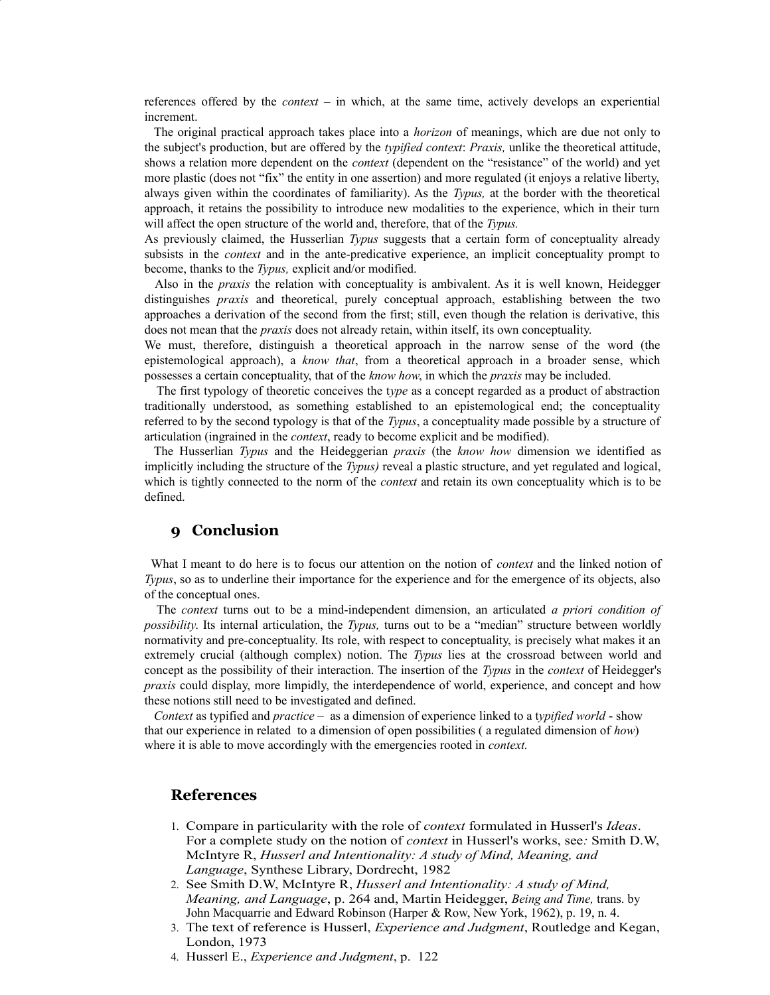references offered by the *context –* in which, at the same time, actively develops an experiential increment.

The original practical approach takes place into a *horizon* of meanings, which are due not only to the subject's production, but are offered by the *typified context*: *Praxis,* unlike the theoretical attitude, shows a relation more dependent on the *context* (dependent on the "resistance" of the world) and yet more plastic (does not "fix" the entity in one assertion) and more regulated (it enjoys a relative liberty, always given within the coordinates of familiarity). As the *Typus,* at the border with the theoretical approach, it retains the possibility to introduce new modalities to the experience, which in their turn will affect the open structure of the world and, therefore, that of the *Typus.*

As previously claimed, the Husserlian *Typus* suggests that a certain form of conceptuality already subsists in the *context* and in the ante-predicative experience, an implicit conceptuality prompt to become, thanks to the *Typus,* explicit and/or modified.

Also in the *praxis* the relation with conceptuality is ambivalent. As it is well known, Heidegger distinguishes *praxis* and theoretical, purely conceptual approach, establishing between the two approaches a derivation of the second from the first; still, even though the relation is derivative, this does not mean that the *praxis* does not already retain, within itself, its own conceptuality.

We must, therefore, distinguish a theoretical approach in the narrow sense of the word (the epistemological approach), a *know that*, from a theoretical approach in a broader sense, which possesses a certain conceptuality, that of the *know how*, in which the *praxis* may be included.

The first typology of theoretic conceives the t*ype* as a concept regarded as a product of abstraction traditionally understood, as something established to an epistemological end; the conceptuality referred to by the second typology is that of the *Typus*, a conceptuality made possible by a structure of articulation (ingrained in the *context*, ready to become explicit and be modified).

The Husserlian *Typus* and the Heideggerian *praxis* (the *know how* dimension we identified as implicitly including the structure of the *Typus)* reveal a plastic structure, and yet regulated and logical, which is tightly connected to the norm of the *context* and retain its own conceptuality which is to be defined.

# **9 Conclusion**

What I meant to do here is to focus our attention on the notion of *context* and the linked notion of *Typus*, so as to underline their importance for the experience and for the emergence of its objects, also of the conceptual ones.

The *context* turns out to be a mind-independent dimension, an articulated *a priori condition of possibility*. Its internal articulation, the *Typus,* turns out to be a "median" structure between worldly normativity and pre-conceptuality. Its role, with respect to conceptuality, is precisely what makes it an extremely crucial (although complex) notion. The *Typus* lies at the crossroad between world and concept as the possibility of their interaction. The insertion of the *Typus* in the *context* of Heidegger's *praxis* could display, more limpidly, the interdependence of world, experience, and concept and how these notions still need to be investigated and defined.

*Context* as typified and *practice –* as a dimension of experience linked to a t*ypified world* - show that our experience in related to a dimension of open possibilities ( a regulated dimension of *how*) where it is able to move accordingly with the emergencies rooted in *context.*

### **References**

- 1. Compare in particularity with the role of *context* formulated in Husserl's *Ideas*. For a complete study on the notion of *context* in Husserl's works, see*:* Smith D.W, McIntyre R, *Husserl and Intentionality: A study of Mind, Meaning, and Language*, Synthese Library, Dordrecht, 1982
- 2. See Smith D.W, McIntyre R, *Husserl and Intentionality: A study of Mind, Meaning, and Language*, p. 264 and, Martin Heidegger, *Being and Time,* trans. by John Macquarrie and Edward Robinson (Harper & Row, New York, 1962), p. 19, n. 4.
- 3. The text of reference is Husserl, *Experience and Judgment*, Routledge and Kegan, London, 1973
- 4. Husserl E., *Experience and Judgment*, p. 122